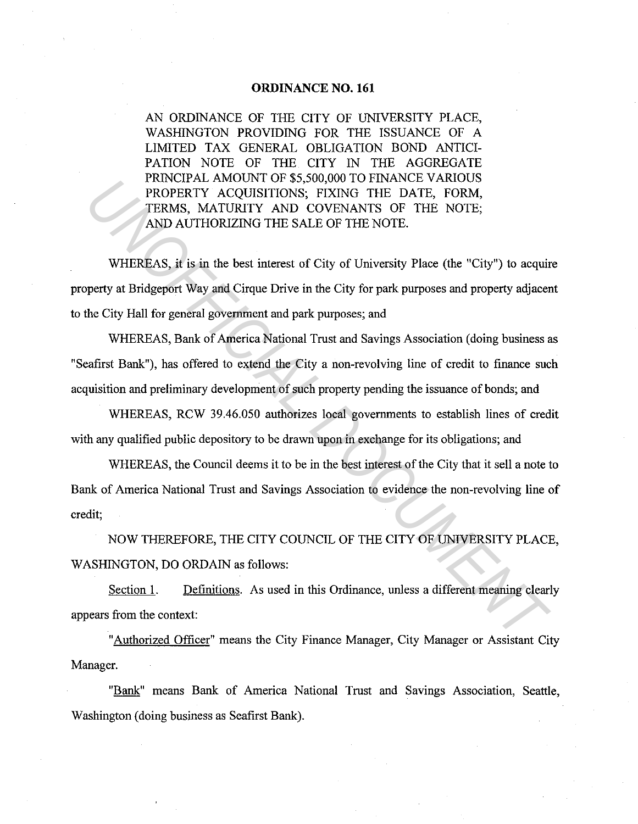#### **ORDINANCE NO. 161**

AN ORDINANCE OF THE CITY OF UNIVERSITY PLACE, WASHINGTON PROVIDING FOR THE ISSUANCE OF A LIMITED TAX GENERAL OBLIGATION BOND ANTICI-PATION NOTE OF THE CITY IN THE AGGREGATE PRINCIPAL AMOUNT OF \$5,500,000 TO FINANCE VARIOUS PROPERTY ACQUISITIONS; FIXING THE DATE, FORM, TERMS, MATURITY AND COVENANTS OF THE NOTE; AND AUTHORIZING THE SALE OF THE NOTE.

WHEREAS, it is in the best interest of City of University Place (the "City") to acquire property at Bridgeport Way and Cirque Drive in the City for park purposes and property adjacent to the City Hall for general government and park purposes; and **EXERCIFAL ANOTON OF S**<sub>20</sub>,0000 OF EXAMIC THE DATE, FORM,<br> **PROPERTY ACQUISITIONS;** FIXING THE DATE, FORM,<br>
TERMS, MATURITY AND COVENANTS OF THE NOTE;<br>
AND AUTHORIZING THE SALE OF THE NOTE.<br>
WHEREAS, it is in the best int

WHEREAS, Bank of America National Trust and Savings Association (doing business as "Seafirst Bank"), has offered to extend the City a non-revolving line of credit to finance such acquisition and preliminary development of such property pending the issuance of bonds; and

WHEREAS, RCW 39.46.050 authorizes local governments to establish lines of credit with any qualified public depository to be drawn upon in exchange for its obligations; and

WHEREAS, the Council deems it to be in the best interest of the City that it sell a note to Bank of America National Trust and Savings Association to evidence the non-revolving line of credit;

NOW THEREFORE, THE CITY COUNCIL OF THE CITY OF UNIVERSITY PLACE, WASHINGTON, DO ORDAIN as follows:

Section 1. Definitions. As used in this Ordinance, unless a different meaning clearly appears from the context:

"Authorized Officer" means the City Finance Manager, City Manager or Assistant City Manager.

"Bank" means Bank of America National Trust and Savings Association, Seattle, Washington (doing business as Seafirst Bank).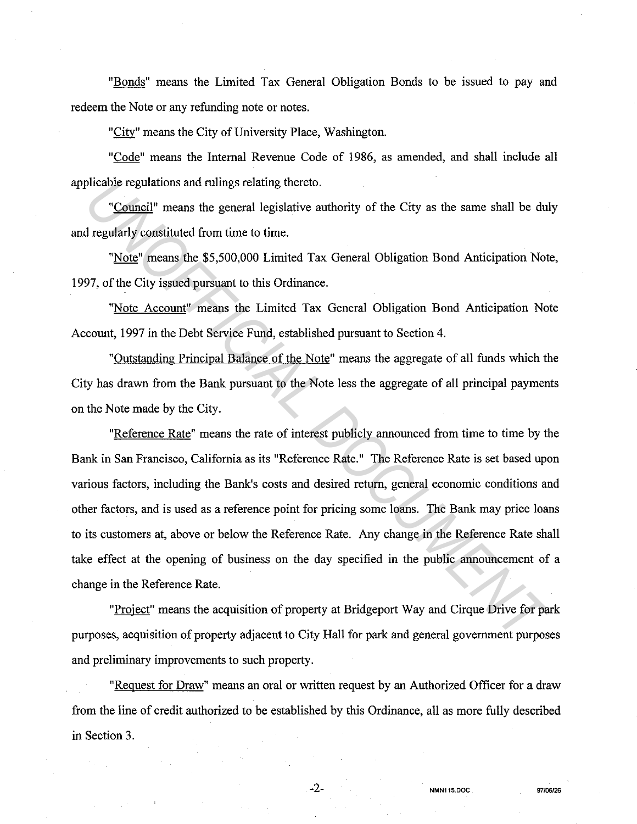"Bonds" means the Limited Tax General Obligation Bonds to be issued to pay and redeem the Note or any refunding note or notes.

"City" means the City of University Place, Washington.

"Code" means the Internal Revenue Code of 1986, as amended, and shall include all applicable regulations and rulings relating thereto.

"Council" means the general legislative authority of the City as the same shall be duly and regularly constituted from time to time.

"Note" means the \$5,500,000 Limited Tax General Obligation Bond Anticipation Note, 1997, of the City issued pursuant to this Ordinance.

"Note Account" means the Limited Tax General Obligation Bond Anticipation Note Account, 1997 in the Debt Service Fund, established pursuant to Section 4.

"Outstanding Principal Balance of the Note" means the aggregate of all funds which the City has drawn from the Bank pursuant to the Note less the aggregate of all principal payments on the Note made by the City.

"Reference Rate" means the rate of interest publicly announced from time to time by the Bank in San Francisco, California as its "Reference Rate." The Reference Rate is set based upon various factors, including the Bank's costs and desired return, general economic conditions and other factors, and is used as a reference point for pricing some loans. The Bank may price loans to its customers at, above or below the Reference Rate. Any change in the Reference Rate shall take effect at the opening of business on the day specified in the public announcement of a change in the Reference Rate. plicable regulations and rulings relating thereto.<br>
"Council" means the general legislative authority of the City as the same shall be dul<br> *Tegularly* constituted from time to time.<br>
"Note" means the \$5,500,000 Limited Ta

"Project" means the acquisition of property at Bridgeport Way and Cirque Drive for park purposes, acquisition of property adjacent to City Hall for park and general government purposes and preliminary improvements to such property.

"Request for Draw" means an oral or written request by an Authorized Officer for a draw from the line of credit authorized to be established by this Ordinance, all as more fully described in Section 3.

-2- **NMN115.DOC 97f06126**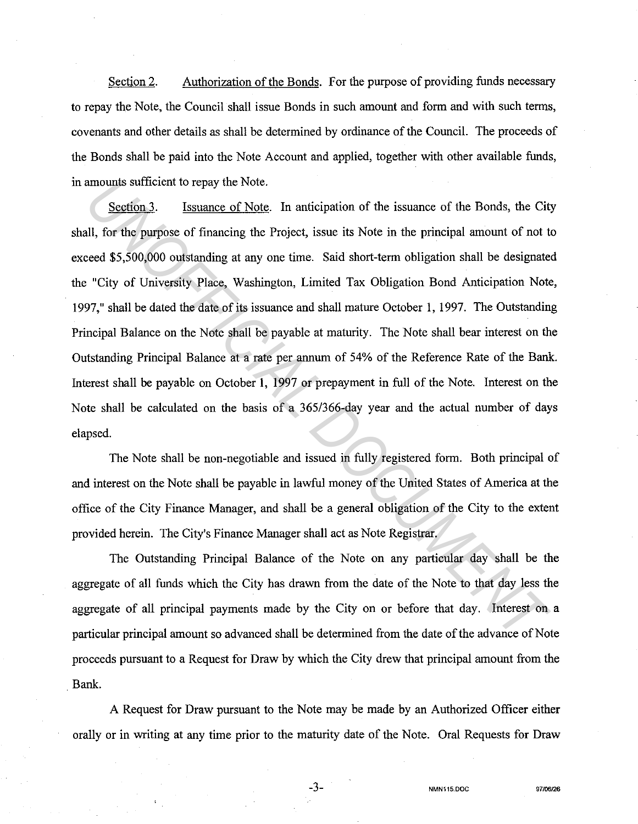Section 2. Authorization of the Bonds. For the purpose of providing funds necessary to repay the Note, the Council shall issue Bonds in such amount and form and with such terms, covenants and other details as shall be determined by ordinance of the Council. The proceeds of the Bonds shall be paid into the Note Account and applied, together with other available funds, in amounts sufficient to repay the Note.

Section 3. Issuance of Note. In anticipation of the issuance of the Bonds, the City shall, for the purpose of financing the Project, issue its Note in the principal amount of not to exceed \$5,500,000 outstanding at any one time. Said short-term obligation shall be designated the "City of University Place, Washington, Limited Tax Obligation Bond Anticipation Note, 1997," shall be dated the date of its issuance and shall mature October 1, 1997. The Outstanding Principal Balance on the Note shall be payable at maturity. The Note shall bear interest on the Outstanding Principal Balance at a rate per annum of 54% of the Reference Rate of the Bank. Interest shall be payable on October 1, 1997 or prepayment in full of the Note. Interest on the Note shall be calculated on the basis of a 365/366-day year and the actual number of days elapsed. amounts sufficient to repay the Note.<br>
<u>Section 3</u>. Issuance of Note. In anticipation of the issuance of the Bonds, the City<br>
III, for the purpose of financing the Project, issue its Note in the principal amount of not to<br>

The Note shall be non-negotiable and issued in fully registered form. Both principal of and interest on the Note shall be payable in lawful money of the United States of America at the office of the City Finance Manager, and shall be a general obligation of the City to the extent provided herein. The City's Finance Manager shall act as Note Registrar.

The Outstanding Principal Balance of the Note on any particular day shall be the aggregate of all funds which the City has drawn from the date of the Note to that day less the aggregate of all principal payments made by the City on or before that day. Interest on a particular principal amount so advanced shall be determined from the date of the advance of Note proceeds pursuant to a Request for Draw by which the City drew that principal amount from the Bank.

A Request for Draw pursuant to the Note may be made by an Authorized Officer either orally or in writing at any time prior to the maturity date of the Note. Oral Requests for Draw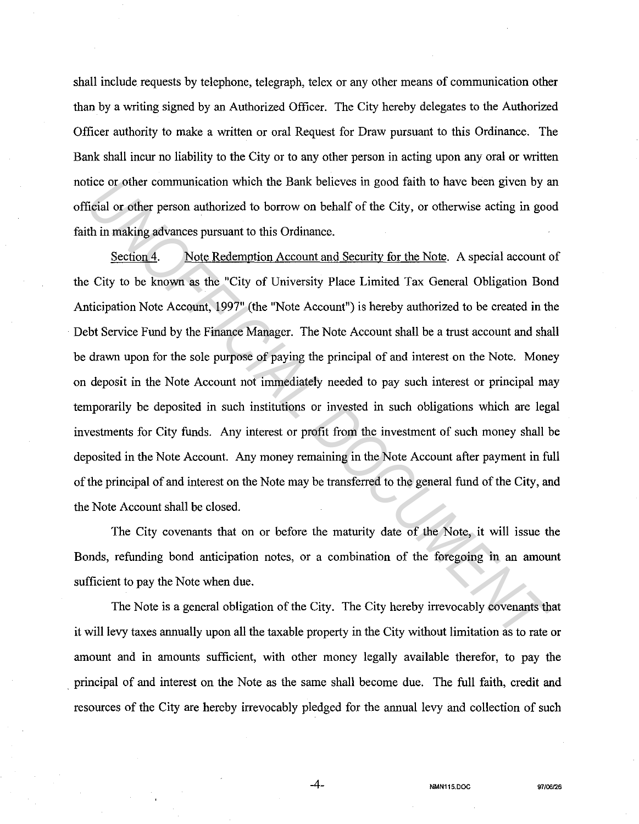shall include requests by telephone, telegraph, telex or any other means of communication other than by a writing signed by an Authorized Officer. The City hereby delegates to the Authorized Officer authority to make a written or oral Request for Draw pursuant to this Ordinance. The Bank shall incur no liability to the City or to any other person in acting upon any oral or written notice or other communication which the Bank believes in good faith to have been given by an official or other person authorized to borrow on behalf of the City, or otherwise acting in good faith in making advances pursuant to this Ordinance.

Section 4. Note Redemption Account and Security for the Note. A special account of the City to be known as the "City of University Place Limited Tax General Obligation Bond Anticipation Note Account, 1997" (the "Note Account") is hereby authorized to be created in the Debt Service Fund by the Finance Manager. The Note Account shall be a trust account and shall be drawn upon for the sole purpose of paying the principal of and interest on the Note. Money on deposit in the Note Account not immediately needed to pay such interest or principal may temporarily be deposited in such institutions or invested in such obligations which are legal investments for City funds. Any interest or profit from the investment of such money shall be deposited in the Note Account. Any money remaining in the Note Account after payment in full of the principal of and interest on the Note may be transferred to the general fund of the City, and the Note Account shall be closed. ities or other communication which the Bank believes in good faith to have been given by a<br>
figial or other person authorized to borrow on behalf of the City, or otherwise acting in good<br>
th in making advances pursuant to

The City covenants that on or before the maturity date of the Note, it will issue the Bonds, refunding bond anticipation notes, or a combination of the foregoing in an amount sufficient to pay the Note when due.

The Note is a general obligation of the City. The City hereby irrevocably covenants that it will levy taxes armually upon all the taxable property in the City without limitation as to rate or amount and in amounts sufficient, with other money legally available therefor, to pay the . principal of and interest on the Note as the same shall become due. The full faith, credit and resources of the City are hereby irrevocably pledged for the armual levy and collection of such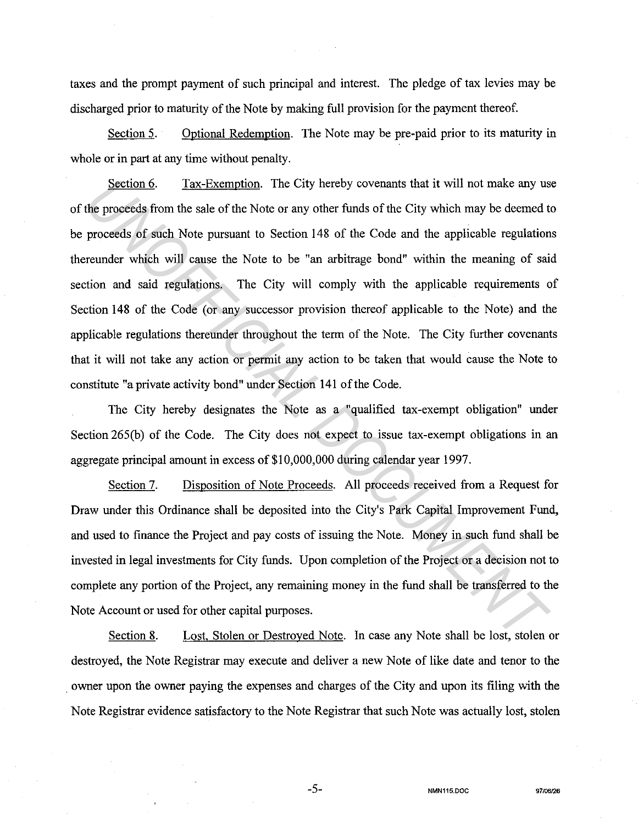taxes and the prompt payment of such principal and interest. The pledge of tax levies may be discharged prior to maturity of the Note by making full provision for the payment thereof.

Section 5. Optional Redemption. The Note may be pre-paid prior to its maturity in whole or in part at any time without penalty.

Section 6. Tax-Exemption. The City hereby covenants that it will not make any use of the proceeds from the sale of the Note or any other funds of the City which may be deemed to be proceeds of such Note pursuant to Section 148 of the Code and the applicable regulations thereunder which will cause the Note to be "an arbitrage bond" within the meaning of said section and said regulations. The City will comply with the applicable requirements of Section 148 of the Code (or any successor provision thereof applicable to the Note) and the applicable regulations thereunder throughout the term of the Note. The City further covenants that it will not take any action or permit any action to be taken that would cause the Note to constitute "a private activity bond" under Section 141 of the Code. **Example 1.1** Tax-Exemption. The City hereby covenants that it will not make any us<br>the proceeds from the sale of the Note or any other funds of the City which may be deemed to<br>proceeds of such Note pursuant to Section 148

The City hereby designates the Note as a "qualified tax-exempt obligation" under Section 265(b) of the Code. The City does not expect to issue tax-exempt obligations in an aggregate principal amount in excess of \$10,000,000 during calendar year 1997.

Section 7. Disposition of Note Proceeds. All proceeds received from a Request for Draw under this Ordinance shall be deposited into the City's Park Capital Improvement Fund, and used to finance the Project and pay costs of issuing the Note. Money in such fund shall be invested in legal investments for City funds. Upon completion of the Project or a decision not to complete any portion of the Project, any remaining money in the fund shall be transferred to the Note Account or used for other capital purposes.

Section 8. Lost, Stolen or Destroyed Note. In case any Note shall be lost, stolen or destroyed, the Note Registrar may execute and deliver a new Note of like date and tenor to the . owner upon the owner paying the expenses and charges of the City and upon its filing with the Note Registrar evidence satisfactory to the Note Registrar that such Note was actually lost, stolen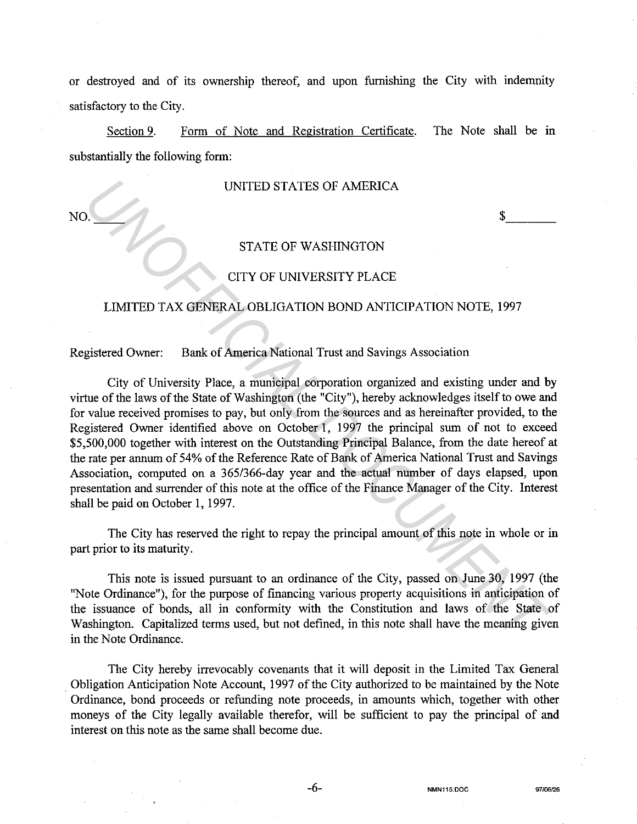or destroyed and of its ownership thereof, and upon furnishing the City with indemnity satisfactory to the City.

Section 9. Form of Note and Registration Certificate. The Note shall be in substantially the following form:

### UNITED STATES OF AMERICA

 $N$ O.  $\qquad \qquad$   $\qquad$   $\qquad$   $\qquad$   $\qquad$   $\qquad$   $\qquad$   $\qquad$   $\qquad$   $\qquad$   $\qquad$   $\qquad$   $\qquad$   $\qquad$   $\qquad$   $\qquad$   $\qquad$   $\qquad$   $\qquad$   $\qquad$   $\qquad$   $\qquad$   $\qquad$   $\qquad$   $\qquad$   $\qquad$   $\qquad$   $\qquad$   $\qquad$   $\qquad$   $\qquad$   $\qquad$   $\qquad$   $\qquad$   $\qquad$   $\$ 

## STATE OF WASHINGTON

## CITY OF UNIVERSITY PLACE

## LIMITED TAX GENERAL OBLIGATION BOND ANTICIPATION NOTE, 1997

Registered Owner: Bank of America National Trust and Savings Association

City of University Place, a municipal corporation organized and existing under and by virtue of the laws of the State of Washington (the "City"), hereby acknowledges itself to owe and for value received promises to pay, but only from the sources and as hereinafter provided, to the Registered Owner identified above on October 1, 1997 the principal sum of not to exceed \$5,500,000 together with interest on the Outstanding Principal Balance, from the date hereof at the rate per annum of 54% of the Reference Rate of Bank of America National Trust and Savings Association, computed on a 365/366-day year and the actual number of days elapsed, upon presentation and surrender of this note at the office of the Finance Manager of the City. Interest shall be paid on October 1, 1997. **UNITED STATES OF AMERICA**<br> **STATE OF WASHINGTON**<br> **CITY OF UNIVERSITY PLACE**<br> **LIMITED TAX GENERAL OBLIGATION BOND ANTICIPATION NOTE, 1997**<br> **ELECT OF UNIVERSITY PLACE**<br> **LIMITED TAX GENERAL OBLIGATION BOND ANTICIPATION N** 

The City has reserved the right to repay the principal amount of this note in whole or in part prior to its maturity.

This note is issued pursuant to an ordinance of the City, passed on June 30, 1997 (the "Note Ordinance"), for the purpose of financing various property acquisitions in anticipation of the issuance of bonds, all in conformity with the Constitution and laws of the State of Washington. Capitalized terms used, but not defined, in this note shall have the meaning given in the Note Ordinance.

The City hereby irrevocably covenants that it will deposit in the Limited Tax General . Obligation Anticipation Note Account, 1997 of the City authorized to be maintained by the Note Ordinance, bond proceeds or refunding note proceeds, in amounts which, together with other moneys of the City legally available therefor, will be sufficient to pay the principal of and interest on this note as the same shall become due.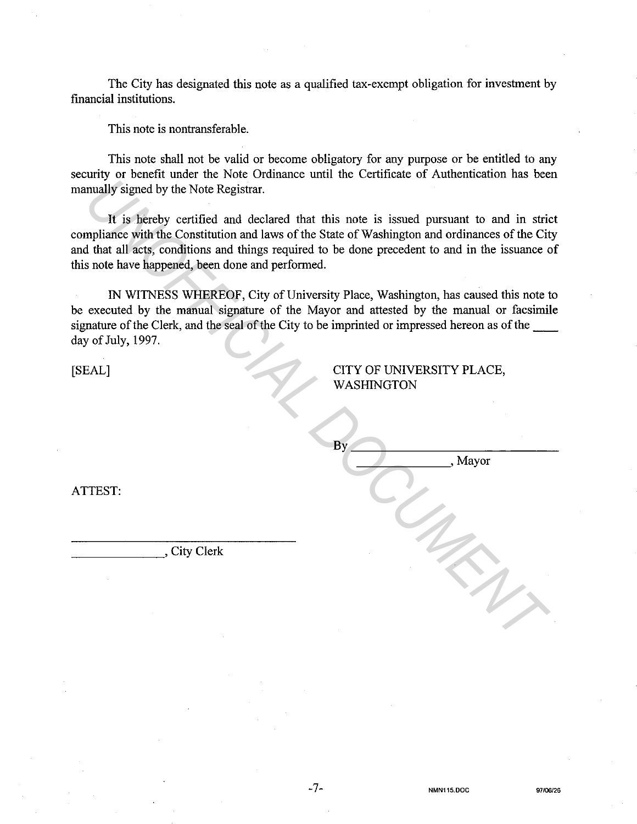The City has designated this note as a qualified tax-exempt obligation for investment by financial institutions.

This note is nontransferable.

This note shall not be valid or become obligatory for any purpose or be entitled to any security or benefit under the Note Ordinance until the Certificate of Authentication has been manually signed by the Note Registrar.

It is hereby certified and declared that this note is issued pursuant to and in strict compliance with the Constitution and laws of the State of Washington and ordinances of the City and that all acts, conditions and things required to be done precedent to and in the issuance of this note have happened, been done and performed.

IN WITNESS WHEREOF, City of University Place, Washington, has caused this note to be executed by the manual signature of the Mayor and attested by the manual or facsimile signature of the Clerk, and the seal of the City to be imprinted or impressed hereon as of the day of July, 1997. FIRST:<br>
The State of City Clerk<br>
The State of Washington and critical and in string<br>
Invalidy signed by the Note Registrar.<br>
It is hereby certified and declared that this note is issued pursuant to and in string<br>
Infinite

-7-

[SEAL]

CITY OF UNIVERSITY PLACE, WASHINGTON

\_\_\_\_\_\_\_ ,,Mayor

| ATTEST: |  |
|---------|--|
|         |  |

City Clerk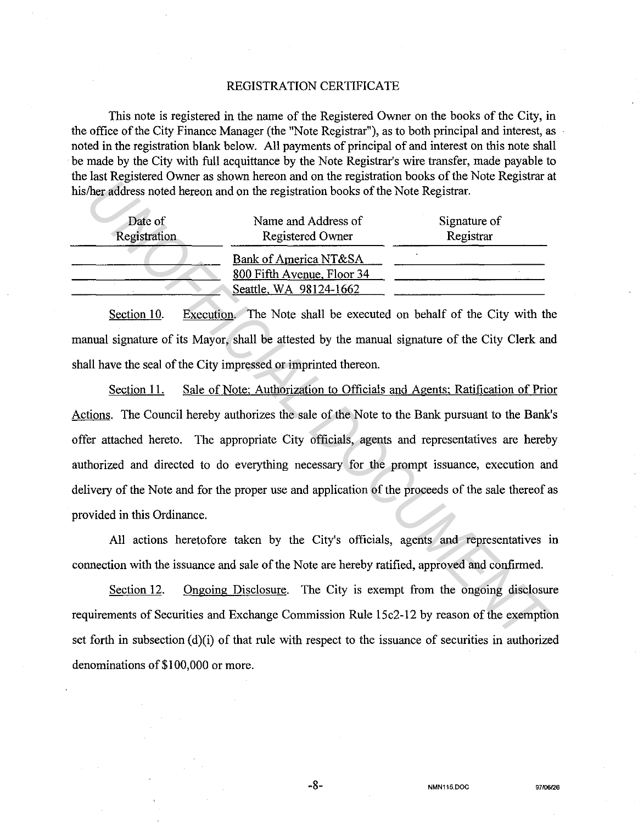### REGISTRATION CERTIFICATE

This note is registered in the name of the Registered Owner on the books of the City, in the office of the City Finance Manager (the "Note Registrar"), as to both principal and interest, as noted in the registration blank below. All payments of principal of and interest on this note shall be made by the City with full acquittance by the Note Registrar's wire transfer, made payable to the last Registered Owner as shown hereon and on the registration books of the Note Registrar at his/her address noted hereon and on the registration books of the Note Registrar.

| Date of      | Name and Address of                                                           | Signature of |
|--------------|-------------------------------------------------------------------------------|--------------|
| Registration | <b>Registered Owner</b>                                                       | Registrar    |
|              | Bank of America NT&SA<br>800 Fifth Avenue, Floor 34<br>Seattle, WA 98124-1662 |              |

Section 10. Execution. The Note shall be executed on behalf of the City with the manual signature of its Mayor, shall be attested by the manual signature of the City Clerk and shall have the seal of the City impressed or imprinted thereon.

Section 11. Sale of Note; Authorization to Officials and Agents; Ratification of Prior Actions. The Council hereby authorizes the sale of the Note to the Bank pursuant to the Bank's offer attached hereto. The appropriate City officials, agents and representatives are hereby authorized and directed to do everything necessary for the prompt issuance, execution and delivery of the Note and for the proper use and application of the proceeds of the sale thereof as provided in this Ordinance. *Unitary* is and in the same in the contract of the Note Registrare.<br> *Unitary incredicts* and the period and on the registration books of the Note Registrar.<br> **Date of** Registration Registration Registration Registration

All actions heretofore taken by the City's officials, agents and representatives in connection with the issuance and sale of the Note are hereby ratified, approved and confirmed.

Section 12. Ongoing Disclosure. The City is exempt from the ongoing disclosure requirements of Securities and Exchange Commission Rule 15c2-12 by reason of the exemption set forth in subsection  $(d)(i)$  of that rule with respect to the issuance of securities in authorized denominations of\$100,000 or more.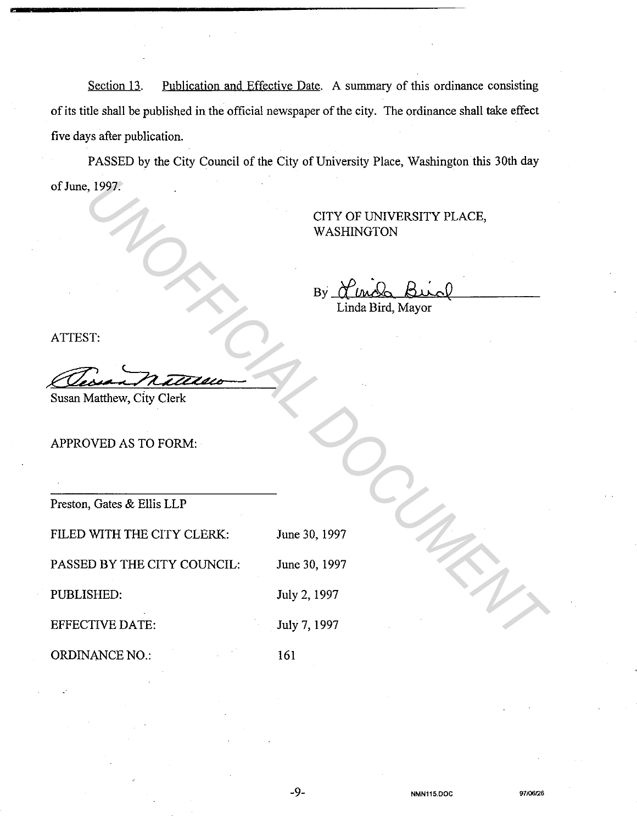Section 13. Publication and Effective Date. A summary of this ordinance consisting of its title shall be published in the official newspaper of the city. The ordinance shall take effect five days after publication.

PASSED by the City Council of the City of University Place, Washington this 30th day of June, 1997.

# CITY OF UNIVERSITY PLACE, WASHINGTON

By <u>Herich Birch</u> Linda Bird, Mayor **UNIVERSITY PLACE,**<br>
WASHINGTON<br>
TOP UNIVERSITY PLACE,<br>
WASHINGTON<br>
By Principal Brita, Mayor<br>
IST:<br>
TIVED AS TO FORM:<br>
DOVED AS TO FORM:<br>
TOP UNIVER THE CITY CLERE:<br>
DIMERED:<br>
UNIVER THE CITY COUNCIL:<br>
UNIVERSITY PLACE.<br>

ATTEST:

,ez; an nature

Susan Matthew, City Clerk

APPROVED AS TO FORM:

Preston, Gates & Ellis LLP

FILED WITH THE CITY CLERK: June 30, 1997

PASSED BY THE CITY COUNCIL: June 30, 1997

PUBLISHED:

EFFECTIVE DATE: July 7, 1997

ORDINANCE NO.:

161

July 2, 1997